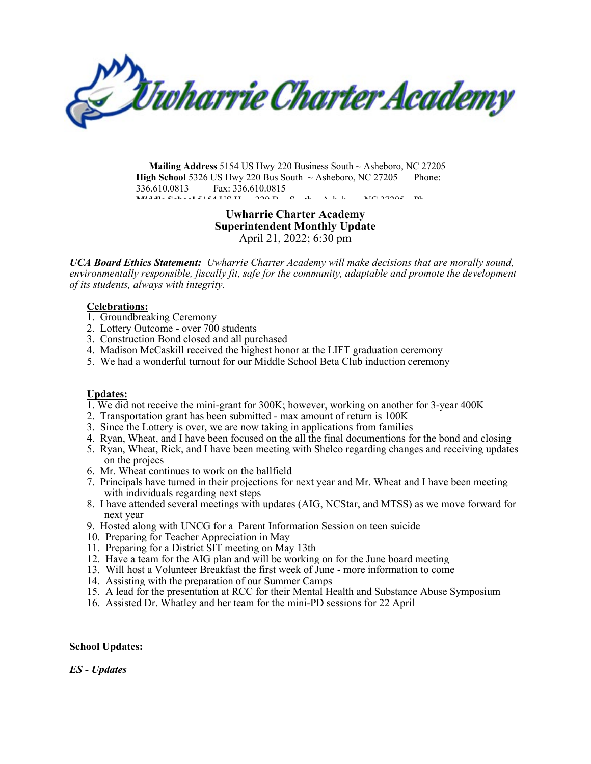*Uwharrie Charter Academy* 

**Mailing Address** 5154 US Hwy 220 Business South ~ Asheboro, NC 27205 **High School** 5326 US Hwy 220 Bus South  $\sim$  Asheboro, NC 27205 Phone: 336.610.0813 Fax: 336.610.0815 **MIDDLE STATES SCHOOL 5154 US H 220 B S TH B 220 B S TH B D A H B A H B A H B A H B A H B A H B A H B A H B A H**<br>The State States of the A h b a h b a h b a h b a h b a h b a h b a h b a h b a h b a h b a h b a h b a h b a

### **Uwharrie Charter Academy Superintendent Monthly Update** April 21, 2022; 6:30 pm

*UCA Board Ethics Statement: Uwharrie Charter Academy will make decisions that are morally sound, environmentally responsible, fiscally fit, safe for the community, adaptable and promote the development of its students, always with integrity.*

#### **Celebrations:**

- 1. Groundbreaking Ceremony
- 2. Lottery Outcome over 700 students
- 3. Construction Bond closed and all purchased
- 4. Madison McCaskill received the highest honor at the LIFT graduation ceremony
- 5. We had a wonderful turnout for our Middle School Beta Club induction ceremony

#### **Updates:**

- 1. We did not receive the mini-grant for 300K; however, working on another for 3-year 400K
- 2. Transportation grant has been submitted max amount of return is 100K
- 3. Since the Lottery is over, we are now taking in applications from families
- 4. Ryan, Wheat, and I have been focused on the all the final documentions for the bond and closing
- 5. Ryan, Wheat, Rick, and I have been meeting with Shelco regarding changes and receiving updates on the projecs
- 6. Mr. Wheat continues to work on the ballfield
- 7. Principals have turned in their projections for next year and Mr. Wheat and I have been meeting with individuals regarding next steps
- 8. I have attended several meetings with updates (AIG, NCStar, and MTSS) as we move forward for next year
- 9. Hosted along with UNCG for a Parent Information Session on teen suicide
- 10. Preparing for Teacher Appreciation in May
- 11. Preparing for a District SIT meeting on May 13th
- 12. Have a team for the AIG plan and will be working on for the June board meeting
- 13. Will host a Volunteer Breakfast the first week of June more information to come
- 14. Assisting with the preparation of our Summer Camps
- 15. A lead for the presentation at RCC for their Mental Health and Substance Abuse Symposium
- 16. Assisted Dr. Whatley and her team for the mini-PD sessions for 22 April

#### **School Updates:**

#### *ES - Updates*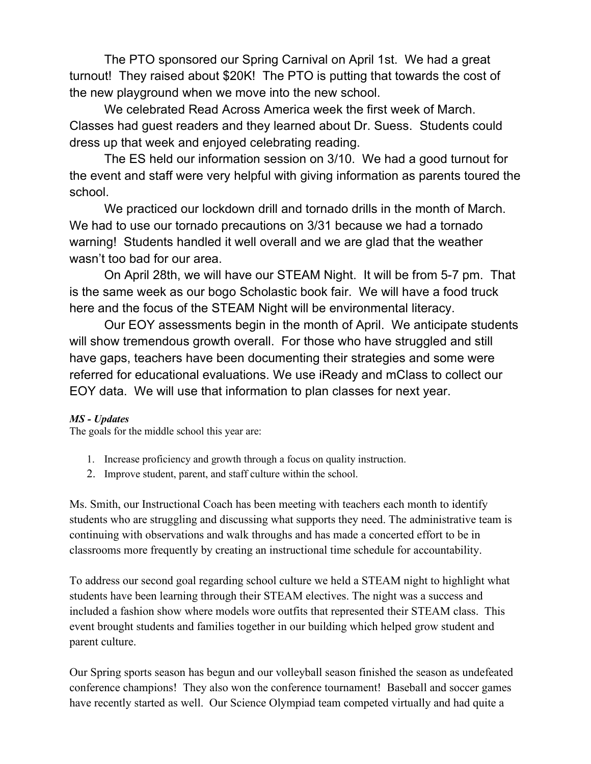The PTO sponsored our Spring Carnival on April 1st. We had a great turnout! They raised about \$20K! The PTO is putting that towards the cost of the new playground when we move into the new school.

We celebrated Read Across America week the first week of March. Classes had guest readers and they learned about Dr. Suess. Students could dress up that week and enjoyed celebrating reading.

The ES held our information session on 3/10. We had a good turnout for the event and staff were very helpful with giving information as parents toured the school.

We practiced our lockdown drill and tornado drills in the month of March. We had to use our tornado precautions on 3/31 because we had a tornado warning! Students handled it well overall and we are glad that the weather wasn't too bad for our area.

On April 28th, we will have our STEAM Night. It will be from 5-7 pm. That is the same week as our bogo Scholastic book fair. We will have a food truck here and the focus of the STEAM Night will be environmental literacy.

Our EOY assessments begin in the month of April. We anticipate students will show tremendous growth overall. For those who have struggled and still have gaps, teachers have been documenting their strategies and some were referred for educational evaluations. We use iReady and mClass to collect our EOY data. We will use that information to plan classes for next year.

### *MS - Updates*

The goals for the middle school this year are:

- 1. Increase proficiency and growth through a focus on quality instruction.
- 2. Improve student, parent, and staff culture within the school.

Ms. Smith, our Instructional Coach has been meeting with teachers each month to identify students who are struggling and discussing what supports they need. The administrative team is continuing with observations and walk throughs and has made a concerted effort to be in classrooms more frequently by creating an instructional time schedule for accountability.

To address our second goal regarding school culture we held a STEAM night to highlight what students have been learning through their STEAM electives. The night was a success and included a fashion show where models wore outfits that represented their STEAM class. This event brought students and families together in our building which helped grow student and parent culture.

Our Spring sports season has begun and our volleyball season finished the season as undefeated conference champions! They also won the conference tournament! Baseball and soccer games have recently started as well. Our Science Olympiad team competed virtually and had quite a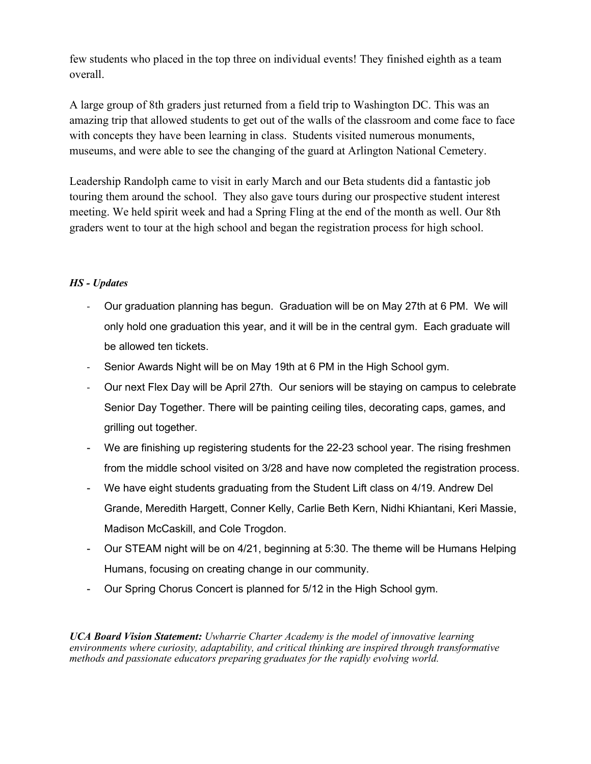few students who placed in the top three on individual events! They finished eighth as a team overall.

A large group of 8th graders just returned from a field trip to Washington DC. This was an amazing trip that allowed students to get out of the walls of the classroom and come face to face with concepts they have been learning in class. Students visited numerous monuments, museums, and were able to see the changing of the guard at Arlington National Cemetery.

Leadership Randolph came to visit in early March and our Beta students did a fantastic job touring them around the school. They also gave tours during our prospective student interest meeting. We held spirit week and had a Spring Fling at the end of the month as well. Our 8th graders went to tour at the high school and began the registration process for high school.

## *HS - Updates*

- Our graduation planning has begun. Graduation will be on May 27th at 6 PM. We will only hold one graduation this year, and it will be in the central gym. Each graduate will be allowed ten tickets.
- Senior Awards Night will be on May 19th at 6 PM in the High School gym.
- Our next Flex Day will be April 27th. Our seniors will be staying on campus to celebrate Senior Day Together. There will be painting ceiling tiles, decorating caps, games, and grilling out together.
- We are finishing up registering students for the 22-23 school year. The rising freshmen from the middle school visited on 3/28 and have now completed the registration process.
- We have eight students graduating from the Student Lift class on 4/19. Andrew Del Grande, Meredith Hargett, Conner Kelly, Carlie Beth Kern, Nidhi Khiantani, Keri Massie, Madison McCaskill, and Cole Trogdon.
- Our STEAM night will be on 4/21, beginning at 5:30. The theme will be Humans Helping Humans, focusing on creating change in our community.
- Our Spring Chorus Concert is planned for 5/12 in the High School gym.

*UCA Board Vision Statement: Uwharrie Charter Academy is the model of innovative learning environments where curiosity, adaptability, and critical thinking are inspired through transformative methods and passionate educators preparing graduates for the rapidly evolving world.*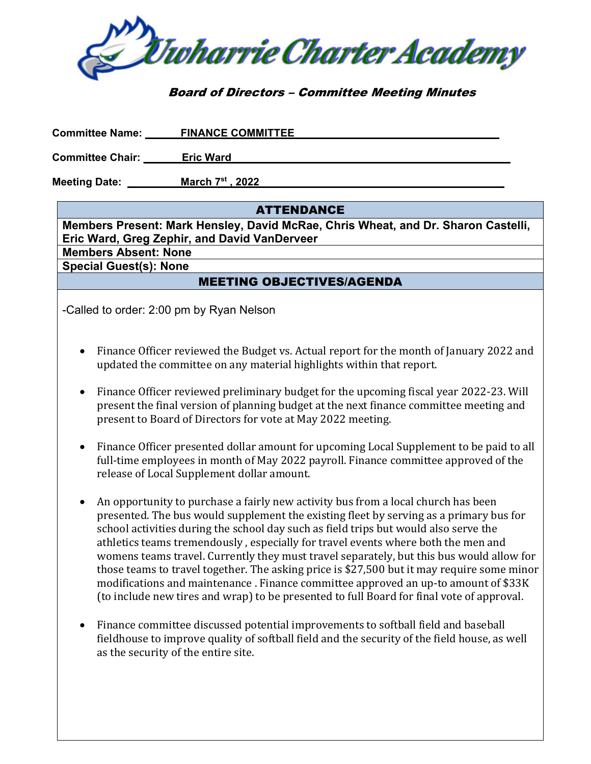

## Board of Directors – Committee Meeting Minutes

| <b>Committee Name:</b>  | <b>FINANCE COMMITTEE</b> |  |
|-------------------------|--------------------------|--|
| <b>Committee Chair:</b> | <b>Eric Ward</b>         |  |

**Meeting Date: \_\_\_\_\_\_\_\_\_March 7 st , 2022\_\_\_\_\_\_\_\_\_\_\_\_\_\_\_\_\_\_\_\_\_\_\_ \_\_\_\_\_\_** 

## ATTENDANCE

**Members Present: Mark Hensley, David McRae, Chris Wheat, and Dr. Sharon Castelli, Eric Ward, Greg Zephir, and David VanDerveer** 

**Members Absent: None Special Guest(s): None** 

## MEETING OBJECTIVES/AGENDA

-Called to order: 2:00 pm by Ryan Nelson

- Finance Officer reviewed the Budget vs. Actual report for the month of January 2022 and updated the committee on any material highlights within that report.
- Finance Officer reviewed preliminary budget for the upcoming fiscal year 2022-23. Will present the final version of planning budget at the next finance committee meeting and present to Board of Directors for vote at May 2022 meeting.
- Finance Officer presented dollar amount for upcoming Local Supplement to be paid to all full-time employees in month of May 2022 payroll. Finance committee approved of the release of Local Supplement dollar amount.
- An opportunity to purchase a fairly new activity bus from a local church has been presented. The bus would supplement the existing fleet by serving as a primary bus for school activities during the school day such as field trips but would also serve the athletics teams tremendously , especially for travel events where both the men and womens teams travel. Currently they must travel separately, but this bus would allow for those teams to travel together. The asking price is \$27,500 but it may require some minor modifications and maintenance . Finance committee approved an up-to amount of \$33K (to include new tires and wrap) to be presented to full Board for final vote of approval.
- Finance committee discussed potential improvements to softball field and baseball fieldhouse to improve quality of softball field and the security of the field house, as well as the security of the entire site.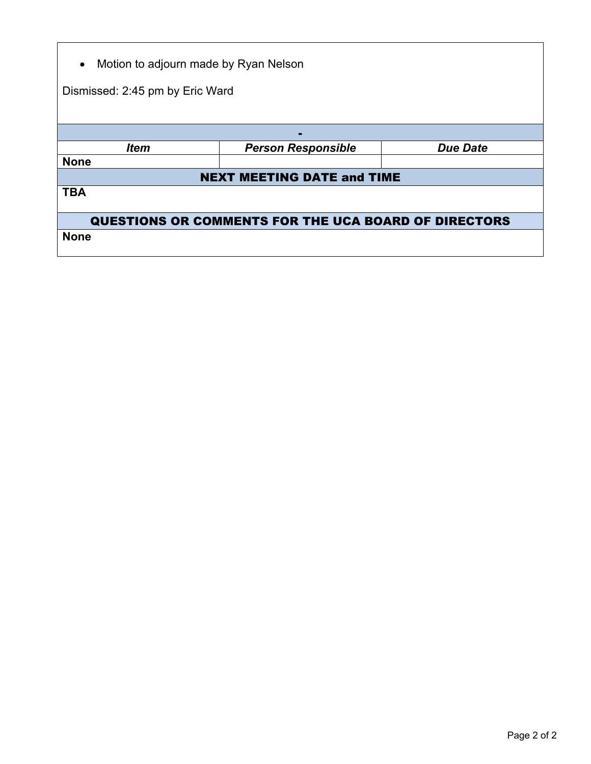| Motion to adjourn made by Ryan Nelson<br>$\bullet$          |                                   |                 |  |  |  |  |  |  |
|-------------------------------------------------------------|-----------------------------------|-----------------|--|--|--|--|--|--|
|                                                             | Dismissed: 2:45 pm by Eric Ward   |                 |  |  |  |  |  |  |
|                                                             |                                   |                 |  |  |  |  |  |  |
|                                                             |                                   |                 |  |  |  |  |  |  |
| <b>Item</b>                                                 | <b>Person Responsible</b>         | <b>Due Date</b> |  |  |  |  |  |  |
| <b>None</b>                                                 |                                   |                 |  |  |  |  |  |  |
|                                                             | <b>NEXT MEETING DATE and TIME</b> |                 |  |  |  |  |  |  |
| <b>TBA</b>                                                  |                                   |                 |  |  |  |  |  |  |
| <b>QUESTIONS OR COMMENTS FOR THE UCA BOARD OF DIRECTORS</b> |                                   |                 |  |  |  |  |  |  |
| <b>None</b>                                                 |                                   |                 |  |  |  |  |  |  |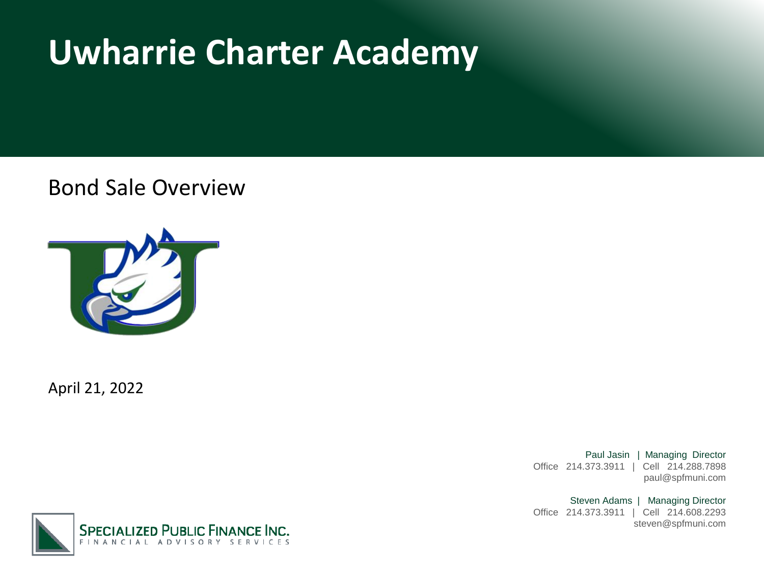# **Uwharrie Charter Academy**

Bond Sale Overview



April 21, 2022

Paul Jasin | Managing Director Office 214.373.3911 | Cell 214.288.7898 paul@spfmuni.com

Steven Adams | Managing Director Office 214.373.3911 | Cell 214.608.2293 steven@spfmuni.com

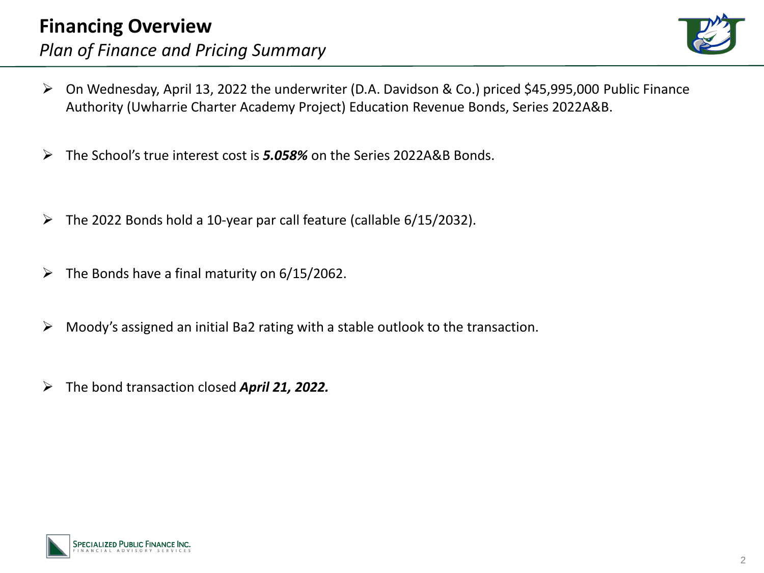

- ➢ On Wednesday, April 13, 2022 the underwriter (D.A. Davidson & Co.) priced \$45,995,000 Public Finance Authority (Uwharrie Charter Academy Project) Education Revenue Bonds, Series 2022A&B.
- ➢ The School's true interest cost is *5.058%* on the Series 2022A&B Bonds.
- ➢ The 2022 Bonds hold a 10-year par call feature (callable 6/15/2032).
- $\triangleright$  The Bonds have a final maturity on 6/15/2062.
- ➢ Moody's assigned an initial Ba2 rating with a stable outlook to the transaction.
- ➢ The bond transaction closed *April 21, 2022.*

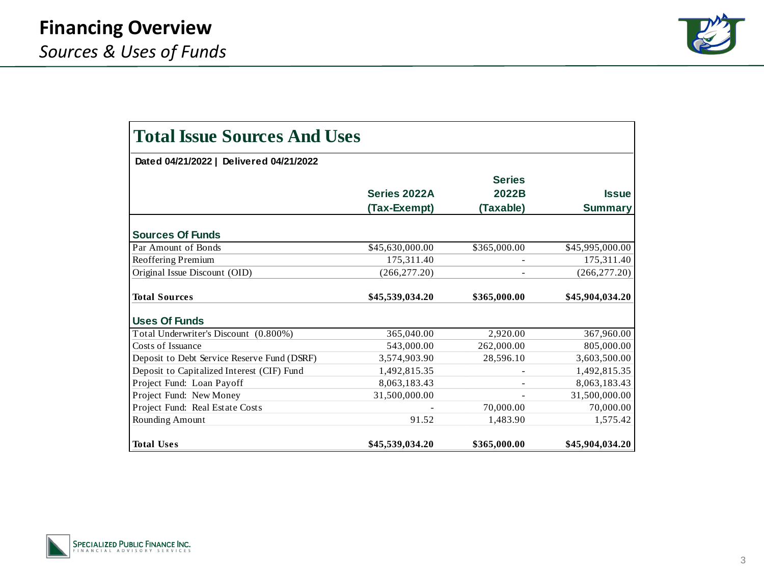

| <b>Total Issue Sources And Uses</b>         |                 |               |                 |  |  |  |  |
|---------------------------------------------|-----------------|---------------|-----------------|--|--|--|--|
| Dated 04/21/2022   Delivered 04/21/2022     |                 |               |                 |  |  |  |  |
|                                             |                 | <b>Series</b> |                 |  |  |  |  |
|                                             | Series 2022A    | 2022B         | <b>Issue</b>    |  |  |  |  |
|                                             | (Tax-Exempt)    | (Taxable)     | <b>Summary</b>  |  |  |  |  |
| <b>Sources Of Funds</b>                     |                 |               |                 |  |  |  |  |
| Par Amount of Bonds                         | \$45,630,000.00 | \$365,000.00  | \$45,995,000.00 |  |  |  |  |
| Reoffering Premium                          | 175.311.40      |               | 175,311.40      |  |  |  |  |
| Original Issue Discount (OID)               | (266, 277.20)   |               | (266, 277.20)   |  |  |  |  |
| <b>Total Sources</b>                        | \$45,539,034.20 | \$365,000.00  | \$45,904,034.20 |  |  |  |  |
| <b>Uses Of Funds</b>                        |                 |               |                 |  |  |  |  |
| Total Underwriter's Discount (0.800%)       | 365,040.00      | 2,920.00      | 367,960.00      |  |  |  |  |
| Costs of Issuance                           | 543,000.00      | 262,000.00    | 805,000.00      |  |  |  |  |
| Deposit to Debt Service Reserve Fund (DSRF) | 3,574,903.90    | 28,596.10     | 3,603,500.00    |  |  |  |  |
| Deposit to Capitalized Interest (CIF) Fund  | 1,492,815.35    |               | 1,492,815.35    |  |  |  |  |
| Project Fund: Loan Payoff                   | 8,063,183.43    |               | 8,063,183.43    |  |  |  |  |
| Project Fund: New Money                     | 31,500,000.00   |               | 31,500,000.00   |  |  |  |  |
| Project Fund: Real Estate Costs             |                 | 70,000.00     | 70,000.00       |  |  |  |  |
| Rounding Amount                             | 91.52           | 1,483.90      | 1,575.42        |  |  |  |  |
| <b>Total Uses</b>                           | \$45,539,034.20 | \$365,000.00  | \$45,904,034.20 |  |  |  |  |

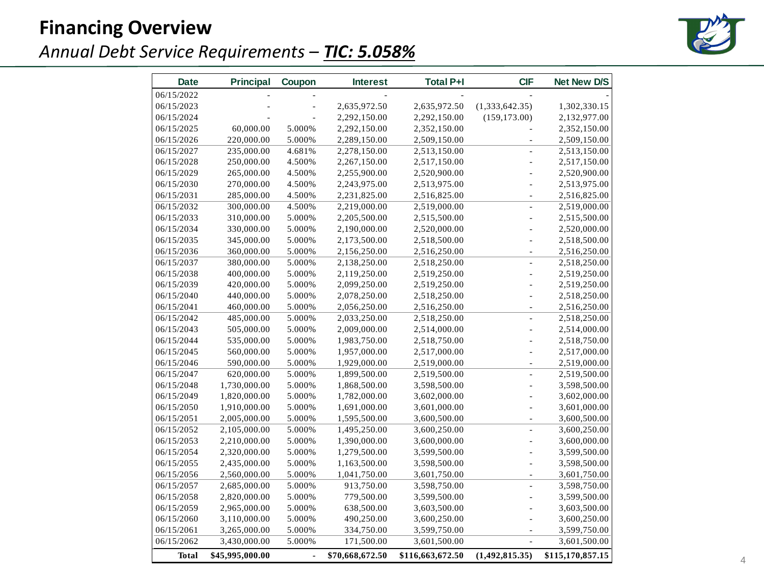# **Financing Overview**



# *Annual Debt Service Requirements – TIC: 5.058%*

| <b>Date</b> | <b>Principal</b> | Coupon         | <b>Interest</b> | <b>Total P+I</b> | <b>CIF</b>     | <b>Net New D/S</b> |
|-------------|------------------|----------------|-----------------|------------------|----------------|--------------------|
| 06/15/2022  |                  |                |                 |                  |                |                    |
| 06/15/2023  |                  |                | 2,635,972.50    | 2,635,972.50     | (1,333,642.35) | 1,302,330.15       |
| 06/15/2024  |                  |                | 2,292,150.00    | 2,292,150.00     | (159, 173.00)  | 2,132,977.00       |
| 06/15/2025  | 60,000.00        | 5.000%         | 2,292,150.00    | 2,352,150.00     |                | 2,352,150.00       |
| 06/15/2026  | 220,000.00       | 5.000%         | 2,289,150.00    | 2,509,150.00     |                | 2,509,150.00       |
| 06/15/2027  | 235,000.00       | 4.681%         | 2,278,150.00    | 2,513,150.00     |                | 2,513,150.00       |
| 06/15/2028  | 250,000.00       | 4.500%         | 2,267,150.00    | 2,517,150.00     |                | 2,517,150.00       |
| 06/15/2029  | 265,000.00       | 4.500%         | 2,255,900.00    | 2,520,900.00     |                | 2,520,900.00       |
| 06/15/2030  | 270,000.00       | 4.500%         | 2,243,975.00    | 2,513,975.00     |                | 2,513,975.00       |
| 06/15/2031  | 285,000.00       | 4.500%         | 2,231,825.00    | 2,516,825.00     | L              | 2,516,825.00       |
| 06/15/2032  | 300,000.00       | 4.500%         | 2,219,000.00    | 2,519,000.00     | $\overline{a}$ | 2,519,000.00       |
| 06/15/2033  | 310,000.00       | 5.000%         | 2,205,500.00    | 2,515,500.00     | Ĭ.             | 2,515,500.00       |
| 06/15/2034  | 330,000.00       | 5.000%         | 2,190,000.00    | 2,520,000.00     |                | 2,520,000.00       |
| 06/15/2035  | 345,000.00       | 5.000%         | 2,173,500.00    | 2,518,500.00     | L              | 2,518,500.00       |
| 06/15/2036  | 360,000.00       | 5.000%         | 2,156,250.00    | 2,516,250.00     | ÷,             | 2,516,250.00       |
| 06/15/2037  | 380,000.00       | 5.000%         | 2,138,250.00    | 2,518,250.00     | ÷,             | 2,518,250.00       |
| 06/15/2038  | 400,000.00       | 5.000%         | 2,119,250.00    | 2,519,250.00     |                | 2,519,250.00       |
| 06/15/2039  | 420,000.00       | 5.000%         | 2,099,250.00    | 2,519,250.00     |                | 2,519,250.00       |
| 06/15/2040  | 440,000.00       | 5.000%         | 2,078,250.00    | 2,518,250.00     | ä,             | 2,518,250.00       |
| 06/15/2041  | 460,000.00       | 5.000%         | 2,056,250.00    | 2,516,250.00     |                | 2,516,250.00       |
| 06/15/2042  | 485,000.00       | 5.000%         | 2,033,250.00    | 2,518,250.00     | L              | 2,518,250.00       |
| 06/15/2043  | 505,000.00       | 5.000%         | 2,009,000.00    | 2,514,000.00     |                | 2,514,000.00       |
| 06/15/2044  | 535,000.00       | 5.000%         | 1,983,750.00    | 2,518,750.00     |                | 2,518,750.00       |
| 06/15/2045  | 560,000.00       | 5.000%         | 1,957,000.00    | 2,517,000.00     | ÷,             | 2,517,000.00       |
| 06/15/2046  | 590,000.00       | 5.000%         | 1,929,000.00    | 2,519,000.00     | ÷,             | 2,519,000.00       |
| 06/15/2047  | 620,000.00       | 5.000%         | 1,899,500.00    | 2,519,500.00     | $\overline{a}$ | 2,519,500.00       |
| 06/15/2048  | 1,730,000.00     | 5.000%         | 1,868,500.00    | 3,598,500.00     |                | 3,598,500.00       |
| 06/15/2049  | 1,820,000.00     | 5.000%         | 1,782,000.00    | 3,602,000.00     |                | 3,602,000.00       |
| 06/15/2050  | 1,910,000.00     | 5.000%         | 1,691,000.00    | 3,601,000.00     |                | 3,601,000.00       |
| 06/15/2051  | 2,005,000.00     | 5.000%         | 1,595,500.00    | 3,600,500.00     | ä,             | 3,600,500.00       |
| 06/15/2052  | 2,105,000.00     | 5.000%         | 1,495,250.00    | 3,600,250.00     | L              | 3,600,250.00       |
| 06/15/2053  | 2,210,000.00     | 5.000%         | 1,390,000.00    | 3,600,000.00     |                | 3,600,000.00       |
| 06/15/2054  | 2,320,000.00     | 5.000%         | 1,279,500.00    | 3,599,500.00     |                | 3,599,500.00       |
| 06/15/2055  | 2,435,000.00     | 5.000%         | 1,163,500.00    | 3,598,500.00     |                | 3,598,500.00       |
| 06/15/2056  | 2,560,000.00     | 5.000%         | 1,041,750.00    | 3,601,750.00     | ÷,             | 3,601,750.00       |
| 06/15/2057  | 2,685,000.00     | 5.000%         | 913,750.00      | 3,598,750.00     | $\overline{a}$ | 3,598,750.00       |
| 06/15/2058  | 2,820,000.00     | 5.000%         | 779,500.00      | 3,599,500.00     |                | 3,599,500.00       |
| 06/15/2059  | 2,965,000.00     | 5.000%         | 638,500.00      | 3,603,500.00     |                | 3,603,500.00       |
| 06/15/2060  | 3,110,000.00     | 5.000%         | 490,250.00      | 3,600,250.00     |                | 3,600,250.00       |
| 06/15/2061  | 3,265,000.00     | 5.000%         | 334,750.00      | 3,599,750.00     |                | 3,599,750.00       |
| 06/15/2062  | 3,430,000.00     | 5.000%         | 171,500.00      | 3,601,500.00     |                | 3,601,500.00       |
| Total       | \$45,995,000.00  | $\blacksquare$ | \$70,668,672.50 | \$116,663,672.50 | (1,492,815.35) | \$115,170,857.15   |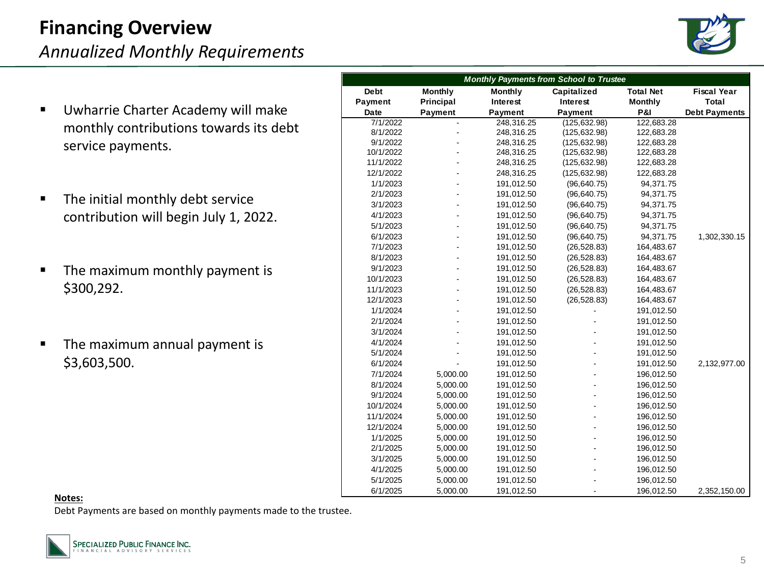# **Financing Overview**

*Annualized Monthly Requirements*



- Uwharrie Charter Academy will make monthly contributions towards its debt service payments.
- The initial monthly debt service contribution will begin July 1, 2022.
- The maximum monthly payment is \$300,292.
- The maximum annual payment is \$3,603,500.

| <b>Monthly Payments from School to Trustee</b> |                              |                |                |                  |                      |  |  |  |
|------------------------------------------------|------------------------------|----------------|----------------|------------------|----------------------|--|--|--|
| <b>Debt</b>                                    | <b>Monthly</b>               | <b>Monthly</b> | Capitalized    | <b>Total Net</b> | <b>Fiscal Year</b>   |  |  |  |
| Payment                                        | Principal<br>Interest        |                | Interest       | Monthly          | Total                |  |  |  |
| Date                                           | Payment                      | <b>Payment</b> | <b>Payment</b> | <b>P&amp;I</b>   | <b>Debt Payments</b> |  |  |  |
| 7/1/2022                                       | $\qquad \qquad \blacksquare$ | 248,316.25     | (125, 632.98)  | 122,683.28       |                      |  |  |  |
| 8/1/2022                                       |                              | 248,316.25     | (125, 632.98)  | 122,683.28       |                      |  |  |  |
| 9/1/2022                                       |                              | 248,316.25     | (125, 632.98)  | 122,683.28       |                      |  |  |  |
| 10/1/2022                                      |                              | 248,316.25     | (125, 632.98)  | 122,683.28       |                      |  |  |  |
| 11/1/2022                                      |                              | 248,316.25     | (125, 632.98)  | 122,683.28       |                      |  |  |  |
| 12/1/2022                                      |                              | 248,316.25     | (125, 632.98)  | 122,683.28       |                      |  |  |  |
| 1/1/2023                                       |                              | 191,012.50     | (96, 640.75)   | 94,371.75        |                      |  |  |  |
| 2/1/2023                                       |                              | 191,012.50     | (96, 640.75)   | 94,371.75        |                      |  |  |  |
| 3/1/2023                                       |                              | 191,012.50     | (96, 640.75)   | 94,371.75        |                      |  |  |  |
| 4/1/2023                                       |                              | 191,012.50     | (96, 640.75)   | 94,371.75        |                      |  |  |  |
| 5/1/2023                                       |                              | 191,012.50     | (96, 640.75)   | 94,371.75        |                      |  |  |  |
| 6/1/2023                                       |                              | 191,012.50     | (96, 640.75)   | 94,371.75        | 1,302,330.15         |  |  |  |
| 7/1/2023                                       |                              | 191,012.50     | (26, 528.83)   | 164,483.67       |                      |  |  |  |
| 8/1/2023                                       |                              | 191,012.50     | (26, 528.83)   | 164,483.67       |                      |  |  |  |
| 9/1/2023                                       |                              | 191,012.50     | (26, 528.83)   | 164,483.67       |                      |  |  |  |
| 10/1/2023                                      |                              | 191,012.50     | (26, 528.83)   | 164,483.67       |                      |  |  |  |
| 11/1/2023                                      |                              | 191,012.50     | (26, 528.83)   | 164,483.67       |                      |  |  |  |
| 12/1/2023                                      |                              | 191,012.50     | (26, 528.83)   | 164,483.67       |                      |  |  |  |
| 1/1/2024                                       |                              | 191,012.50     |                | 191,012.50       |                      |  |  |  |
| 2/1/2024                                       |                              | 191,012.50     |                | 191,012.50       |                      |  |  |  |
| 3/1/2024                                       |                              | 191,012.50     |                | 191,012.50       |                      |  |  |  |
| 4/1/2024                                       |                              | 191,012.50     |                | 191,012.50       |                      |  |  |  |
| 5/1/2024                                       |                              | 191,012.50     |                | 191,012.50       |                      |  |  |  |
| 6/1/2024                                       |                              | 191,012.50     |                | 191,012.50       | 2,132,977.00         |  |  |  |
| 7/1/2024                                       | 5,000.00                     | 191,012.50     |                | 196,012.50       |                      |  |  |  |
| 8/1/2024                                       | 5,000.00                     | 191,012.50     |                | 196,012.50       |                      |  |  |  |
| 9/1/2024                                       | 5,000.00                     | 191,012.50     |                | 196,012.50       |                      |  |  |  |
| 10/1/2024                                      | 5,000.00                     | 191,012.50     |                | 196,012.50       |                      |  |  |  |
| 11/1/2024                                      | 5,000.00                     | 191,012.50     |                | 196,012.50       |                      |  |  |  |
| 12/1/2024                                      | 5,000.00                     | 191,012.50     |                | 196,012.50       |                      |  |  |  |
| 1/1/2025                                       | 5,000.00                     | 191,012.50     |                | 196,012.50       |                      |  |  |  |
| 2/1/2025                                       | 5,000.00                     | 191,012.50     |                | 196,012.50       |                      |  |  |  |
| 3/1/2025                                       | 5,000.00                     | 191,012.50     |                | 196,012.50       |                      |  |  |  |
| 4/1/2025                                       | 5,000.00                     | 191,012.50     |                | 196,012.50       |                      |  |  |  |
| 5/1/2025                                       | 5,000.00                     | 191,012.50     |                | 196,012.50       |                      |  |  |  |
| 6/1/2025                                       | 5,000.00                     | 191,012.50     |                | 196,012.50       | 2,352,150.00         |  |  |  |

#### **Notes:**

Debt Payments are based on monthly payments made to the trustee.

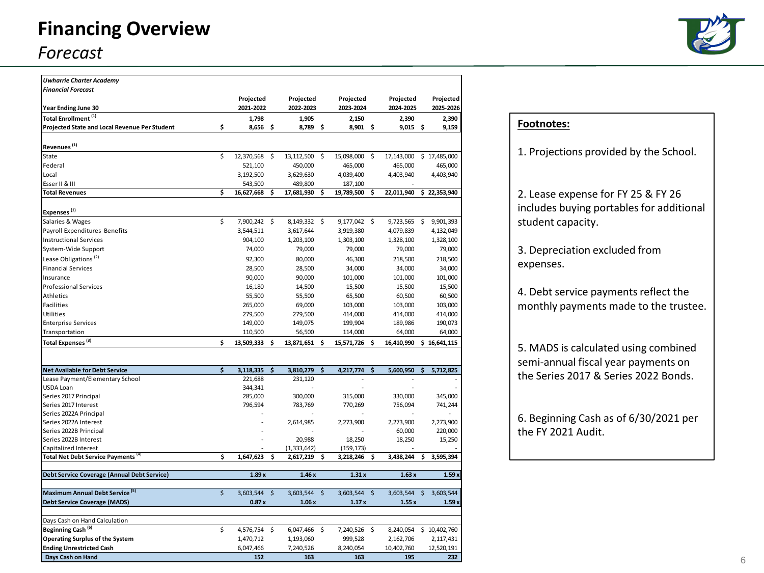# **Financing Overview** *Forecast*



| <b>Uwharrie Charter Academy</b>               |                     |    |               |  |               |  |              |                 |
|-----------------------------------------------|---------------------|----|---------------|--|---------------|--|--------------|-----------------|
| <b>Financial Forecast</b>                     |                     |    |               |  |               |  |              |                 |
|                                               | Projected           |    | Projected     |  | Projected     |  | Projected    | Projected       |
| Year Ending June 30                           | 2021-2022           |    | 2022-2023     |  | 2023-2024     |  | 2024-2025    | 2025-2026       |
| Total Enrollment <sup>(1)</sup>               | 1,798               |    | 1,905         |  | 2,150         |  | 2,390        | 2,390           |
| Projected State and Local Revenue Per Student | \$<br>$8,656$ \$    |    | 8,789 \$      |  | 8,901 \$      |  | $9,015$ \$   | 9,159           |
|                                               |                     |    |               |  |               |  |              |                 |
| Revenues <sup>(1)</sup>                       |                     |    |               |  |               |  |              |                 |
| State                                         | \$<br>12,370,568 \$ |    | 13,112,500 \$ |  | 15,098,000 \$ |  | 17,143,000   | \$17,485,000    |
| Federal                                       | 521,100             |    | 450,000       |  | 465,000       |  | 465,000      | 465,000         |
| Local                                         | 3,192,500           |    | 3,629,630     |  | 4,039,400     |  | 4,403,940    | 4,403,940       |
| Esser II & III                                | 543,500             |    | 489,800       |  | 187,100       |  |              |                 |
| <b>Total Revenues</b>                         | \$<br>16,627,668    | Ŝ. | 17,681,930 \$ |  | 19,789,500 \$ |  | 22,011,940   | \$22,353,940    |
| Expenses <sup>(1)</sup>                       |                     |    |               |  |               |  |              |                 |
| Salaries & Wages                              | \$<br>7,900,242 \$  |    | 8,149,332 \$  |  | 9,177,042 \$  |  | 9,723,565 \$ | 9,901,393       |
| Payroll Expenditures Benefits                 | 3,544,511           |    | 3,617,644     |  | 3,919,380     |  | 4,079,839    | 4,132,049       |
| <b>Instructional Services</b>                 | 904,100             |    | 1,203,100     |  | 1,303,100     |  | 1,328,100    | 1,328,100       |
| System-Wide Support                           | 74,000              |    | 79,000        |  | 79,000        |  | 79,000       | 79,000          |
| Lease Obligations <sup>(2)</sup>              | 92,300              |    | 80,000        |  | 46,300        |  | 218,500      | 218,500         |
| <b>Financial Services</b>                     | 28,500              |    | 28,500        |  | 34,000        |  | 34,000       | 34,000          |
| Insurance                                     | 90,000              |    | 90,000        |  | 101,000       |  | 101,000      | 101,000         |
| <b>Professional Services</b>                  | 16,180              |    | 14,500        |  | 15,500        |  | 15,500       | 15,500          |
| Athletics                                     | 55,500              |    | 55,500        |  | 65,500        |  | 60,500       | 60,500          |
| <b>Facilities</b>                             | 265,000             |    | 69,000        |  | 103,000       |  | 103,000      | 103,000         |
| <b>Utilities</b>                              | 279,500             |    | 279,500       |  | 414,000       |  | 414,000      | 414,000         |
| <b>Enterprise Services</b>                    | 149,000             |    | 149,075       |  | 199,904       |  | 189,986      | 190,073         |
| Transportation                                | 110,500             |    | 56,500        |  | 114,000       |  | 64,000       | 64,000          |
| Total Expenses <sup>(3)</sup>                 | \$<br>13,509,333 \$ |    | 13,871,651 \$ |  | 15,571,726 \$ |  | 16,410,990   | \$16,641,115    |
|                                               |                     |    |               |  |               |  |              |                 |
| <b>Net Available for Debt Service</b>         | \$<br>3,118,335 \$  |    | 3,810,279 \$  |  | 4,217,774 \$  |  | 5,600,950    | \$<br>5,712,825 |
| Lease Payment/Elementary School               | 221,688             |    | 231,120       |  |               |  |              |                 |
| USDA Loan                                     | 344,341             |    |               |  |               |  |              |                 |
| Series 2017 Principal                         | 285,000             |    | 300,000       |  | 315,000       |  | 330,000      | 345,000         |
| Series 2017 Interest                          | 796,594             |    | 783,769       |  | 770,269       |  | 756,094      | 741,244         |
| Series 2022A Principal                        |                     |    |               |  |               |  |              |                 |
| Series 2022A Interest                         |                     |    | 2,614,985     |  | 2,273,900     |  | 2,273,900    | 2,273,900       |

Series 2022A Interest 1992 and 2,614,985 2,273,900 2,273,900 2,273,900 2,273,900 2,273,900 2,273,900 2,273,900<br>Series 2022B Principal 1992 and 220,000 1220,000 220,000 220,000 220,000 220,000 220,000 220,000 220,000 200,0 Series 2022B Principal and the series 2022B Principal and the series 2022B Principal and the series 2022B Interest and the series 2002B Interest and the series 2002B Interest and the series 2002B Interest and the series 20

**Total Net Debt Service Payments** (4) **\$ 1,647,623 \$ 2,617,219 \$ 3,218,246 \$ 3,438,244 \$ 3,595,394 Debt Service Coverage (Annual Debt Service) 1.89 x 1.46 x 1.31 x 1.63 x 1.59 x Maximum Annual Debt Service**<sup>(5)</sup> **6 3,603,544** \$ 3,603,544 \$ 3,603,544 \$ 3,603,544 \$ 3,603,544 \$ 3,603,544 **Debt Service Coverage (MADS) 0.87 x 1.06 x 1.17 x 1.55 x 1.59 x**

**Beginning Cash (6)** \$ 4,576,754 \$ 6,047,466 \$ 7,240,526 \$ 8,240,054 \$ 10,402,760 **Operating Surplus of the System** 1,470,712 1,193,060 999,528 2,162,706 2,117,431 **Ending Unrestricted Cash** 6,047,466 7,240,526 8,240,054 10,402,760 12,520,191 **Days Cash on Hand 152 163 163 195 232**

Series 2022B Interest 18,250<br>
Capitalized Interest 18,250 18,250 18,250 18,250 18,250 18,250 18,250 159,173

Days Cash on Hand Calculation

Capitalized Interest **- Capitalized Interest** - (1,333,642) (159,173)

| Footnotes:                                                                                                          |
|---------------------------------------------------------------------------------------------------------------------|
| 1. Projections provided by the School.                                                                              |
| 2. Lease expense for FY 25 & FY 26<br>includes buying portables for additional<br>student capacity.                 |
| 3. Depreciation excluded from<br>expenses.                                                                          |
| 4. Debt service payments reflect the<br>monthly payments made to the trustee.                                       |
| 5. MADS is calculated using combined<br>semi-annual fiscal year payments on<br>the Series 2017 & Series 2022 Bonds. |
| 6. Beginning Cash as of 6/30/2021 per<br>the FY 2021 Audit.                                                         |
|                                                                                                                     |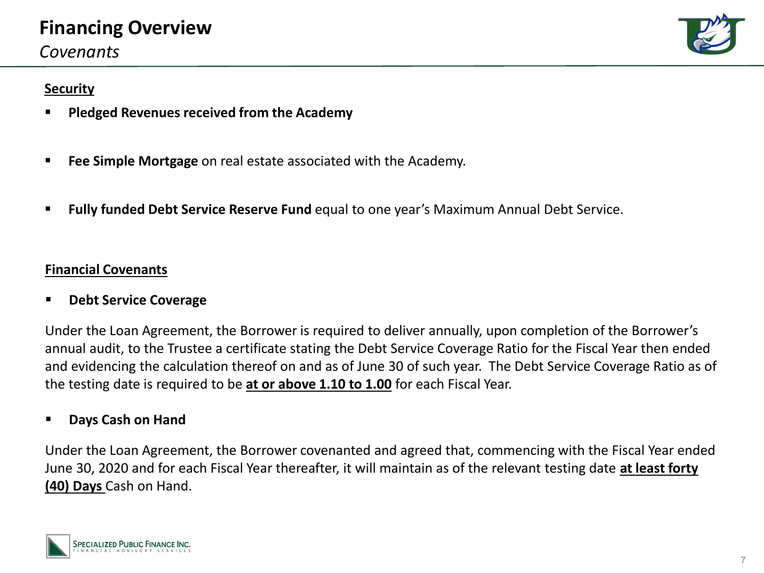# **Financing Overview**

*Covenants*

## **Security**

- **Pledged Revenues received from the Academy**
- **Fee Simple Mortgage** on real estate associated with the Academy.
- **Fully funded Debt Service Reserve Fund** equal to one year's Maximum Annual Debt Service.

## **Financial Covenants**

▪ **Debt Service Coverage**

Under the Loan Agreement, the Borrower is required to deliver annually, upon completion of the Borrower's annual audit, to the Trustee a certificate stating the Debt Service Coverage Ratio for the Fiscal Year then ended and evidencing the calculation thereof on and as of June 30 of such year. The Debt Service Coverage Ratio as of the testing date is required to be **at or above 1.10 to 1.00** for each Fiscal Year.

## ▪ **Days Cash on Hand**

Under the Loan Agreement, the Borrower covenanted and agreed that, commencing with the Fiscal Year ended June 30, 2020 and for each Fiscal Year thereafter, it will maintain as of the relevant testing date **at least forty (40) Days** Cash on Hand.



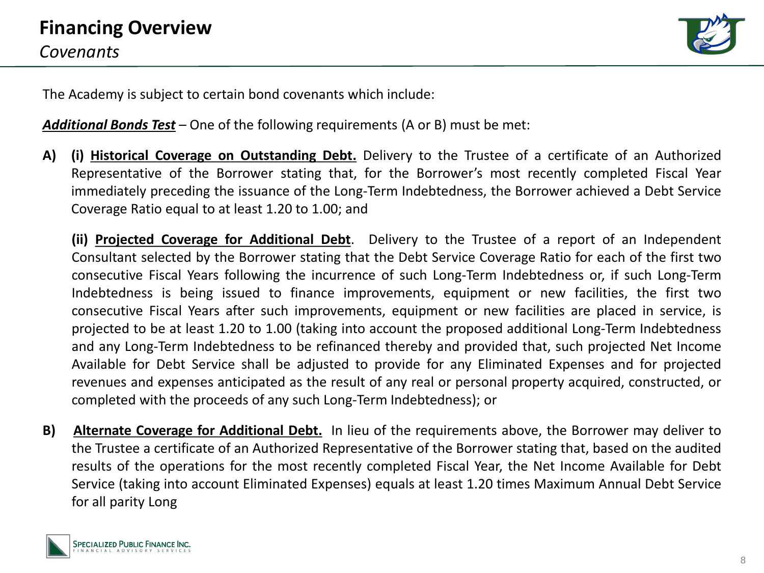

The Academy is subject to certain bond covenants which include:

*Additional Bonds Test* – One of the following requirements (A or B) must be met:

**A) (i) Historical Coverage on Outstanding Debt.** Delivery to the Trustee of a certificate of an Authorized Representative of the Borrower stating that, for the Borrower's most recently completed Fiscal Year immediately preceding the issuance of the Long-Term Indebtedness, the Borrower achieved a Debt Service Coverage Ratio equal to at least 1.20 to 1.00; and

**(ii) Projected Coverage for Additional Debt**. Delivery to the Trustee of a report of an Independent Consultant selected by the Borrower stating that the Debt Service Coverage Ratio for each of the first two consecutive Fiscal Years following the incurrence of such Long-Term Indebtedness or, if such Long-Term Indebtedness is being issued to finance improvements, equipment or new facilities, the first two consecutive Fiscal Years after such improvements, equipment or new facilities are placed in service, is projected to be at least 1.20 to 1.00 (taking into account the proposed additional Long-Term Indebtedness and any Long-Term Indebtedness to be refinanced thereby and provided that, such projected Net Income Available for Debt Service shall be adjusted to provide for any Eliminated Expenses and for projected revenues and expenses anticipated as the result of any real or personal property acquired, constructed, or completed with the proceeds of any such Long-Term Indebtedness); or

**B) Alternate Coverage for Additional Debt.** In lieu of the requirements above, the Borrower may deliver to the Trustee a certificate of an Authorized Representative of the Borrower stating that, based on the audited results of the operations for the most recently completed Fiscal Year, the Net Income Available for Debt Service (taking into account Eliminated Expenses) equals at least 1.20 times Maximum Annual Debt Service for all parity Long

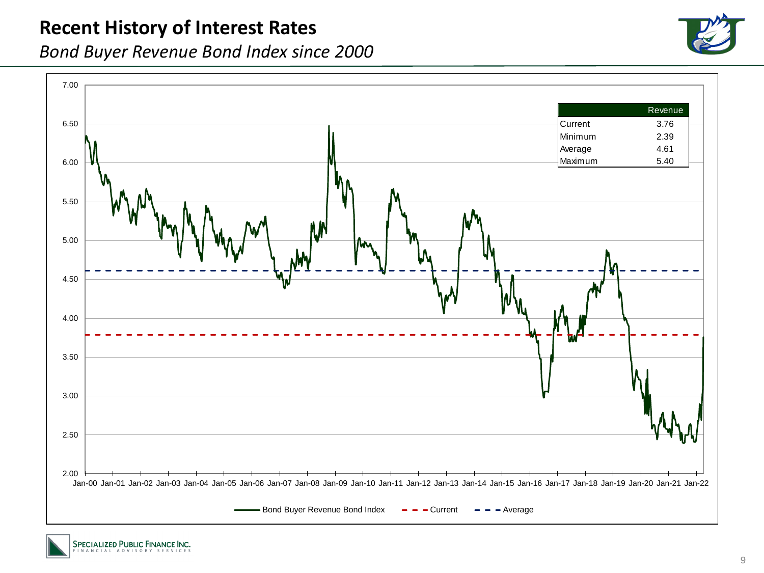## **Recent History of Interest Rates**

*Bond Buyer Revenue Bond Index since 2000*





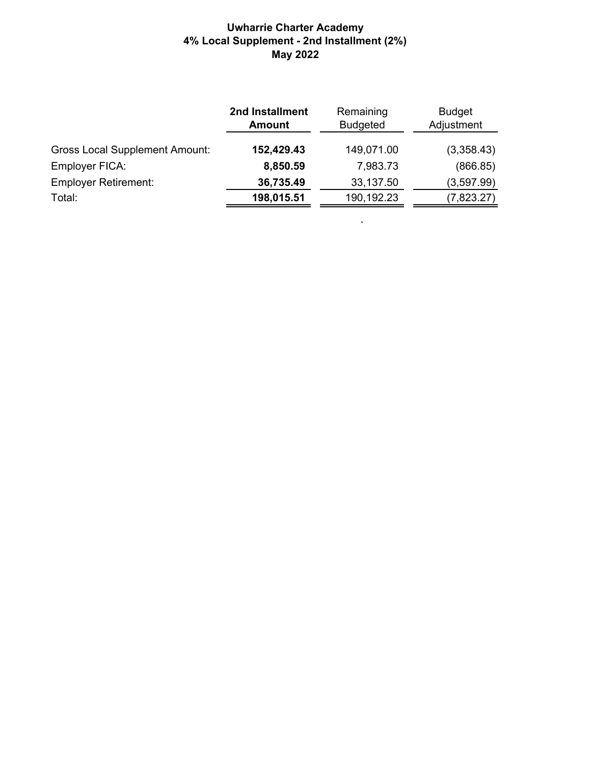## **Uwharrie Charter Academy 4% Local Supplement - 2nd Installment (2%) May 2022**

|                                       | 2nd Installment<br><b>Amount</b> | Remaining<br><b>Budgeted</b> | <b>Budget</b><br>Adjustment |  |  |
|---------------------------------------|----------------------------------|------------------------------|-----------------------------|--|--|
| <b>Gross Local Supplement Amount:</b> | 152,429.43                       | 149,071.00                   | (3,358.43)                  |  |  |
| Employer FICA:                        | 8,850.59                         | 7,983.73                     | (866.85)                    |  |  |
| <b>Employer Retirement:</b>           | 36,735.49                        | 33,137.50                    | (3,597.99)                  |  |  |
| Total:                                | 198,015.51                       | 190,192.23                   | (7,823.27)                  |  |  |
|                                       |                                  |                              |                             |  |  |

 $\mathbf{v}^{\prime}$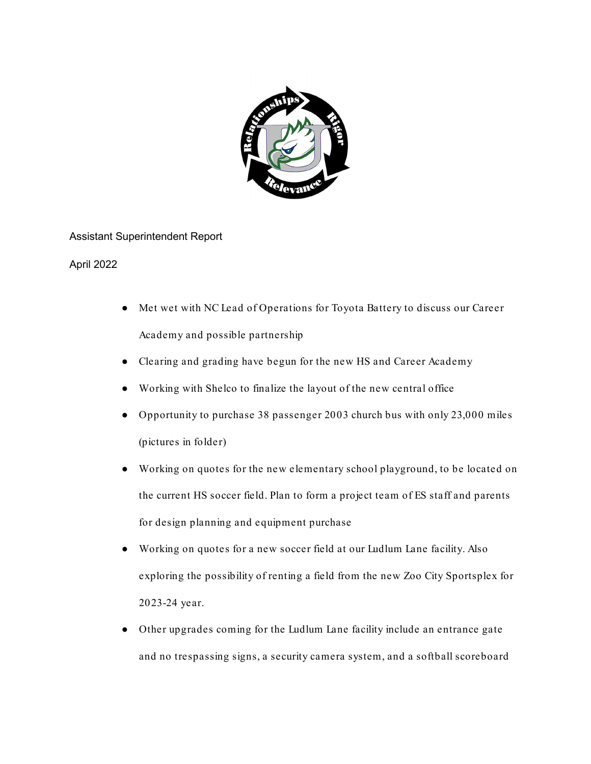

Assistant Superintendent Report

April 2022

- Met wet with NC Lead of Operations for Toyota Battery to discuss our Career Academy and possible partnership
- Clearing and grading have begun for the new HS and Career Academy
- Working with Shelco to finalize the layout of the new central office
- Opportunity to purchase 38 passenger 2003 church bus with only 23,000 miles (pictures in folder)
- Working on quotes for the new elementary school playground, to be located on the current HS soccer field. Plan to form a project team of ES staff and parents for design planning and equipment purchase
- Working on quotes for a new soccer field at our Ludlum Lane facility. Also exploring the possibility of renting a field from the new Zoo City Sportsplex for 2023-24 year.
- Other upgrades coming for the Ludlum Lane facility include an entrance gate and no trespassing signs, a security camera system, and a softball scoreboard